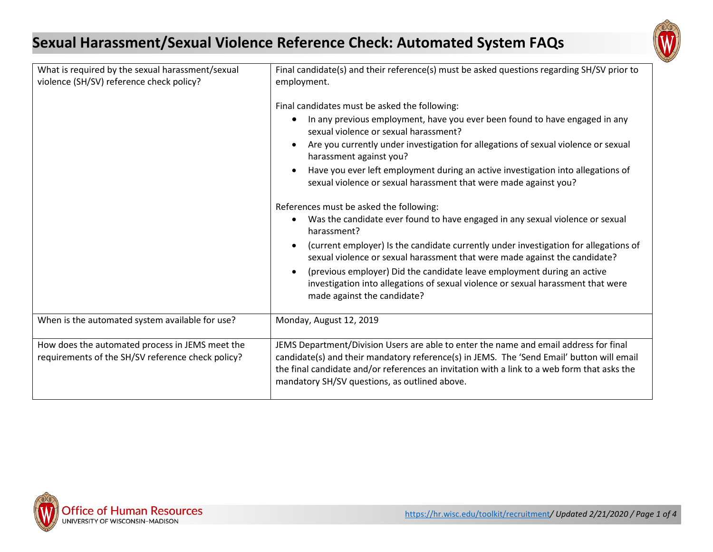## **Sexual Harassment/Sexual Violence Reference Check: Automated System FAQs**



| What is required by the sexual harassment/sexual<br>violence (SH/SV) reference check policy?         | Final candidate(s) and their reference(s) must be asked questions regarding SH/SV prior to<br>employment.                                                                                                                                                                                                                          |
|------------------------------------------------------------------------------------------------------|------------------------------------------------------------------------------------------------------------------------------------------------------------------------------------------------------------------------------------------------------------------------------------------------------------------------------------|
|                                                                                                      | Final candidates must be asked the following:                                                                                                                                                                                                                                                                                      |
|                                                                                                      | In any previous employment, have you ever been found to have engaged in any<br>$\bullet$<br>sexual violence or sexual harassment?                                                                                                                                                                                                  |
|                                                                                                      | Are you currently under investigation for allegations of sexual violence or sexual<br>$\bullet$<br>harassment against you?                                                                                                                                                                                                         |
|                                                                                                      | Have you ever left employment during an active investigation into allegations of<br>sexual violence or sexual harassment that were made against you?                                                                                                                                                                               |
|                                                                                                      | References must be asked the following:<br>Was the candidate ever found to have engaged in any sexual violence or sexual<br>harassment?                                                                                                                                                                                            |
|                                                                                                      | (current employer) Is the candidate currently under investigation for allegations of<br>$\bullet$<br>sexual violence or sexual harassment that were made against the candidate?                                                                                                                                                    |
|                                                                                                      | (previous employer) Did the candidate leave employment during an active<br>$\bullet$<br>investigation into allegations of sexual violence or sexual harassment that were<br>made against the candidate?                                                                                                                            |
| When is the automated system available for use?                                                      | Monday, August 12, 2019                                                                                                                                                                                                                                                                                                            |
| How does the automated process in JEMS meet the<br>requirements of the SH/SV reference check policy? | JEMS Department/Division Users are able to enter the name and email address for final<br>candidate(s) and their mandatory reference(s) in JEMS. The 'Send Email' button will email<br>the final candidate and/or references an invitation with a link to a web form that asks the<br>mandatory SH/SV questions, as outlined above. |

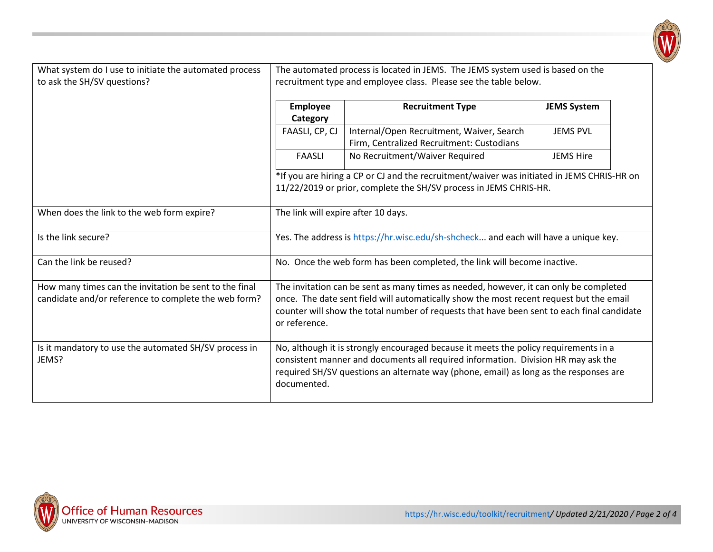

| What system do I use to initiate the automated process<br>to ask the SH/SV questions? | The automated process is located in JEMS. The JEMS system used is based on the<br>recruitment type and employee class. Please see the table below. |                                                                                                                                                                                                                                                                    |                    |  |
|---------------------------------------------------------------------------------------|----------------------------------------------------------------------------------------------------------------------------------------------------|--------------------------------------------------------------------------------------------------------------------------------------------------------------------------------------------------------------------------------------------------------------------|--------------------|--|
|                                                                                       | Employee<br>Category                                                                                                                               | <b>Recruitment Type</b>                                                                                                                                                                                                                                            | <b>JEMS System</b> |  |
|                                                                                       | FAASLI, CP, CJ                                                                                                                                     | Internal/Open Recruitment, Waiver, Search<br>Firm, Centralized Recruitment: Custodians                                                                                                                                                                             | <b>JEMS PVL</b>    |  |
|                                                                                       | <b>FAASLI</b>                                                                                                                                      | No Recruitment/Waiver Required                                                                                                                                                                                                                                     | <b>JEMS Hire</b>   |  |
|                                                                                       |                                                                                                                                                    | *If you are hiring a CP or CJ and the recruitment/waiver was initiated in JEMS CHRIS-HR on<br>11/22/2019 or prior, complete the SH/SV process in JEMS CHRIS-HR.                                                                                                    |                    |  |
| When does the link to the web form expire?                                            | The link will expire after 10 days.                                                                                                                |                                                                                                                                                                                                                                                                    |                    |  |
| Is the link secure?                                                                   |                                                                                                                                                    | Yes. The address is https://hr.wisc.edu/sh-shcheck and each will have a unique key.                                                                                                                                                                                |                    |  |
| Can the link be reused?                                                               |                                                                                                                                                    | No. Once the web form has been completed, the link will become inactive.                                                                                                                                                                                           |                    |  |
| How many times can the invitation be sent to the final                                |                                                                                                                                                    | The invitation can be sent as many times as needed, however, it can only be completed                                                                                                                                                                              |                    |  |
| candidate and/or reference to complete the web form?                                  | or reference.                                                                                                                                      | once. The date sent field will automatically show the most recent request but the email<br>counter will show the total number of requests that have been sent to each final candidate                                                                              |                    |  |
| Is it mandatory to use the automated SH/SV process in<br>JEMS?                        | documented.                                                                                                                                        | No, although it is strongly encouraged because it meets the policy requirements in a<br>consistent manner and documents all required information. Division HR may ask the<br>required SH/SV questions an alternate way (phone, email) as long as the responses are |                    |  |

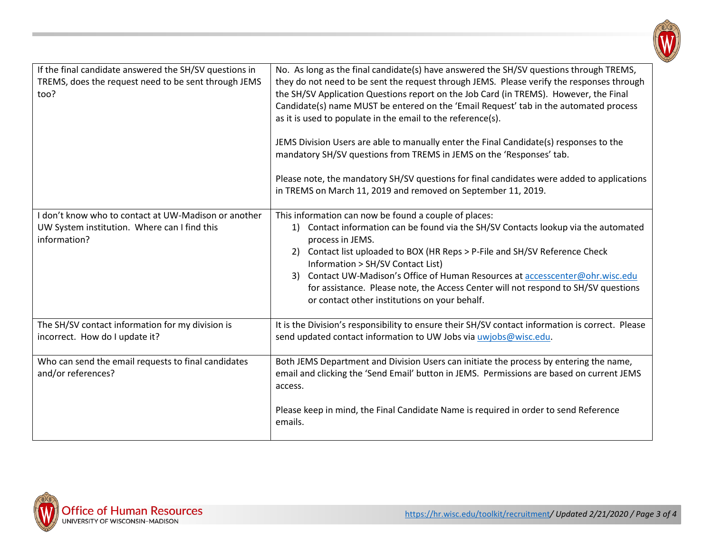

| If the final candidate answered the SH/SV questions in<br>TREMS, does the request need to be sent through JEMS<br>too? | No. As long as the final candidate(s) have answered the SH/SV questions through TREMS,<br>they do not need to be sent the request through JEMS. Please verify the responses through<br>the SH/SV Application Questions report on the Job Card (in TREMS). However, the Final<br>Candidate(s) name MUST be entered on the 'Email Request' tab in the automated process<br>as it is used to populate in the email to the reference(s).<br>JEMS Division Users are able to manually enter the Final Candidate(s) responses to the<br>mandatory SH/SV questions from TREMS in JEMS on the 'Responses' tab.<br>Please note, the mandatory SH/SV questions for final candidates were added to applications<br>in TREMS on March 11, 2019 and removed on September 11, 2019. |
|------------------------------------------------------------------------------------------------------------------------|-----------------------------------------------------------------------------------------------------------------------------------------------------------------------------------------------------------------------------------------------------------------------------------------------------------------------------------------------------------------------------------------------------------------------------------------------------------------------------------------------------------------------------------------------------------------------------------------------------------------------------------------------------------------------------------------------------------------------------------------------------------------------|
| I don't know who to contact at UW-Madison or another<br>UW System institution. Where can I find this<br>information?   | This information can now be found a couple of places:<br>1) Contact information can be found via the SH/SV Contacts lookup via the automated<br>process in JEMS.<br>Contact list uploaded to BOX (HR Reps > P-File and SH/SV Reference Check<br>2)<br>Information > SH/SV Contact List)<br>Contact UW-Madison's Office of Human Resources at accesscenter@ohr.wisc.edu<br>3)<br>for assistance. Please note, the Access Center will not respond to SH/SV questions<br>or contact other institutions on your behalf.                                                                                                                                                                                                                                                   |
| The SH/SV contact information for my division is<br>incorrect. How do I update it?                                     | It is the Division's responsibility to ensure their SH/SV contact information is correct. Please<br>send updated contact information to UW Jobs via uwjobs@wisc.edu.                                                                                                                                                                                                                                                                                                                                                                                                                                                                                                                                                                                                  |
| Who can send the email requests to final candidates<br>and/or references?                                              | Both JEMS Department and Division Users can initiate the process by entering the name,<br>email and clicking the 'Send Email' button in JEMS. Permissions are based on current JEMS<br>access.<br>Please keep in mind, the Final Candidate Name is required in order to send Reference<br>emails.                                                                                                                                                                                                                                                                                                                                                                                                                                                                     |